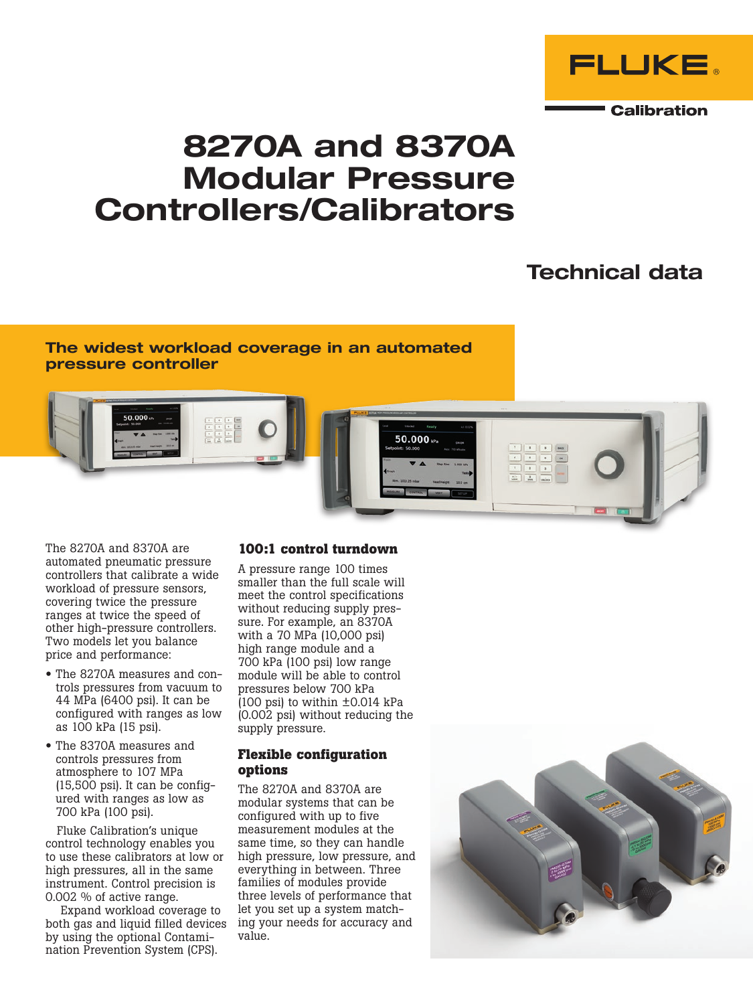

# 8270A and 8370A Modular Pressure Controllers/Calibrators

## Technical data

### The widest workload coverage in an automated pressure controller



The 8270A and 8370A are automated pneumatic pressure controllers that calibrate a wide workload of pressure sensors, covering twice the pressure ranges at twice the speed of other high-pressure controllers. Two models let you balance price and performance:

- The 8270A measures and controls pressures from vacuum to 44 MPa (6400 psi). It can be configured with ranges as low as 100 kPa (15 psi).
- The 8370A measures and controls pressures from atmosphere to 107 MPa (15,500 psi). It can be configured with ranges as low as 700 kPa (100 psi).

Fluke Calibration's unique control technology enables you to use these calibrators at low or high pressures, all in the same instrument. Control precision is 0.002 % of active range.

Expand workload coverage to both gas and liquid filled devices by using the optional Contamination Prevention System (CPS).

### **100:1 control turndown**

A pressure range 100 times smaller than the full scale will meet the control specifications without reducing supply pressure. For example, an 8370A with a 70 MPa (10,000 psi) high range module and a 700 kPa (100 psi) low range module will be able to control pressures below 700 kPa  $(100 \text{ psi})$  to within  $\pm 0.014$  kPa (0.002 psi) without reducing the supply pressure.

### **Flexible configuration options**

The 8270A and 8370A are modular systems that can be configured with up to five measurement modules at the same time, so they can handle high pressure, low pressure, and everything in between. Three families of modules provide three levels of performance that let you set up a system matching your needs for accuracy and value.

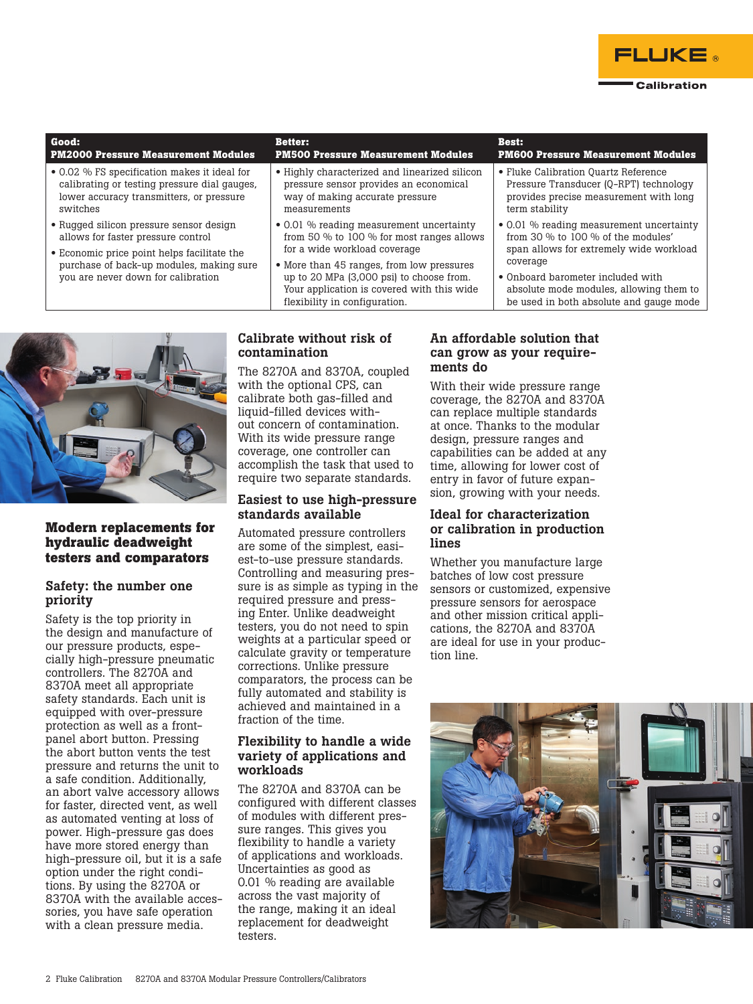

#### **Good: PM2000 Pressure Measurement Modules Better: PM500 Pressure Measurement Modules Best: PM600 Pressure Measurement Modules** • 0.02 % FS specification makes it ideal for calibrating or testing pressure dial gauges, lower accuracy transmitters, or pressure switches • Rugged silicon pressure sensor design allows for faster pressure control • Economic price point helps facilitate the purchase of back-up modules, making sure you are never down for calibration • Highly characterized and linearized silicon pressure sensor provides an economical way of making accurate pressure measurements • 0.01 % reading measurement uncertainty from 50 % to 100 % for most ranges allows for a wide workload coverage • More than 45 ranges, from low pressures up to 20 MPa (3,000 psi) to choose from. Your application is covered with this wide • Fluke Calibration Quartz Reference Pressure Transducer (Q-RPT) technology provides precise measurement with long -<br>term stability • 0.01 % reading measurement uncertainty from 30 % to 100 % of the modules' span allows for extremely wide workload coverage • Onboard barometer included with absolute mode modules, allowing them to



### **Modern replacements for hydraulic deadweight testers and comparators**

### Safety: the number one priority

Safety is the top priority in the design and manufacture of our pressure products, especially high-pressure pneumatic controllers. The 8270A and 8370A meet all appropriate safety standards. Each unit is equipped with over-pressure protection as well as a frontpanel abort button. Pressing the abort button vents the test pressure and returns the unit to a safe condition. Additionally, an abort valve accessory allows for faster, directed vent, as well as automated venting at loss of power. High-pressure gas does have more stored energy than high-pressure oil, but it is a safe option under the right conditions. By using the 8270A or 8370A with the available accessories, you have safe operation with a clean pressure media.

### Calibrate without risk of contamination

flexibility in configuration.

The 8270A and 8370A, coupled with the optional CPS, can calibrate both gas-filled and liquid-filled devices without concern of contamination. With its wide pressure range coverage, one controller can accomplish the task that used to require two separate standards.

### Easiest to use high-pressure standards available

Automated pressure controllers are some of the simplest, easiest-to-use pressure standards. Controlling and measuring pressure is as simple as typing in the required pressure and pressing Enter. Unlike deadweight testers, you do not need to spin weights at a particular speed or calculate gravity or temperature corrections. Unlike pressure comparators, the process can be fully automated and stability is achieved and maintained in a fraction of the time.

### Flexibility to handle a wide variety of applications and workloads

The 8270A and 8370A can be configured with different classes of modules with different pressure ranges. This gives you flexibility to handle a variety of applications and workloads. Uncertainties as good as 0.01 % reading are available across the vast majority of the range, making it an ideal replacement for deadweight testers.

### An affordable solution that can grow as your requirements do

be used in both absolute and gauge mode

With their wide pressure range coverage, the 8270A and 8370A can replace multiple standards at once. Thanks to the modular design, pressure ranges and capabilities can be added at any time, allowing for lower cost of entry in favor of future expansion, growing with your needs.

### Ideal for characterization or calibration in production lines

Whether you manufacture large batches of low cost pressure sensors or customized, expensive pressure sensors for aerospace and other mission critical applications, the 8270A and 8370A are ideal for use in your production line.

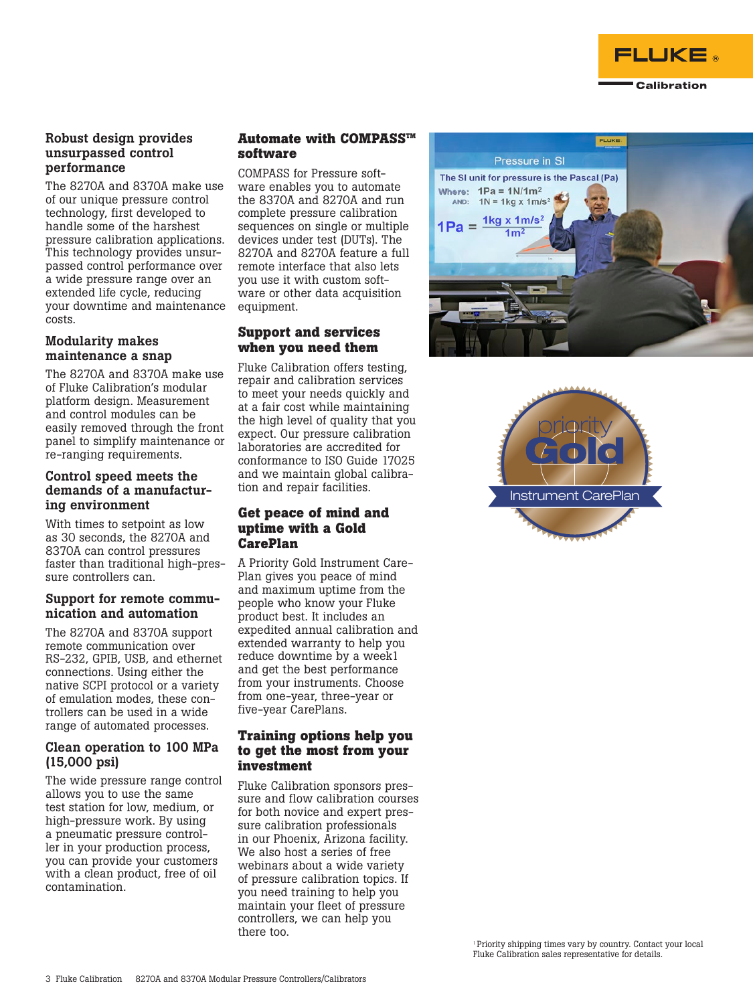

### Robust design provides unsurpassed control performance

The 8270A and 8370A make use of our unique pressure control technology, first developed to handle some of the harshest pressure calibration applications. This technology provides unsurpassed control performance over a wide pressure range over an extended life cycle, reducing your downtime and maintenance costs.

### Modularity makes maintenance a snap

The 8270A and 8370A make use of Fluke Calibration's modular platform design. Measurement and control modules can be easily removed through the front panel to simplify maintenance or re-ranging requirements.

### Control speed meets the demands of a manufacturing environment

With times to setpoint as low as 30 seconds, the 8270A and 8370A can control pressures faster than traditional high-pressure controllers can.

### Support for remote communication and automation

The 8270A and 8370A support remote communication over RS-232, GPIB, USB, and ethernet connections. Using either the native SCPI protocol or a variety of emulation modes, these controllers can be used in a wide range of automated processes.

### Clean operation to 100 MPa (15,000 psi)

The wide pressure range control allows you to use the same test station for low, medium, or high-pressure work. By using a pneumatic pressure controller in your production process, you can provide your customers with a clean product, free of oil contamination.

### **Automate with COMPASS™ software**

COMPASS for Pressure software enables you to automate the 8370A and 8270A and run complete pressure calibration sequences on single or multiple devices under test (DUTs). The 8270A and 8270A feature a full remote interface that also lets you use it with custom software or other data acquisition equipment.

### **Support and services when you need them**

Fluke Calibration offers testing, repair and calibration services to meet your needs quickly and at a fair cost while maintaining the high level of quality that you expect. Our pressure calibration laboratories are accredited for conformance to ISO Guide 17025 and we maintain global calibration and repair facilities.

### **Get peace of mind and uptime with a Gold CarePlan**

A Priority Gold Instrument Care-Plan gives you peace of mind and maximum uptime from the people who know your Fluke product best. It includes an expedited annual calibration and extended warranty to help you reduce downtime by a week1 and get the best performance from your instruments. Choose from one-year, three-year or five-year CarePlans.

### **Training options help you to get the most from your investment**

Fluke Calibration sponsors pressure and flow calibration courses for both novice and expert pressure calibration professionals in our Phoenix, Arizona facility. We also host a series of free webinars about a wide variety of pressure calibration topics. If you need training to help you maintain your fleet of pressure controllers, we can help you there too.



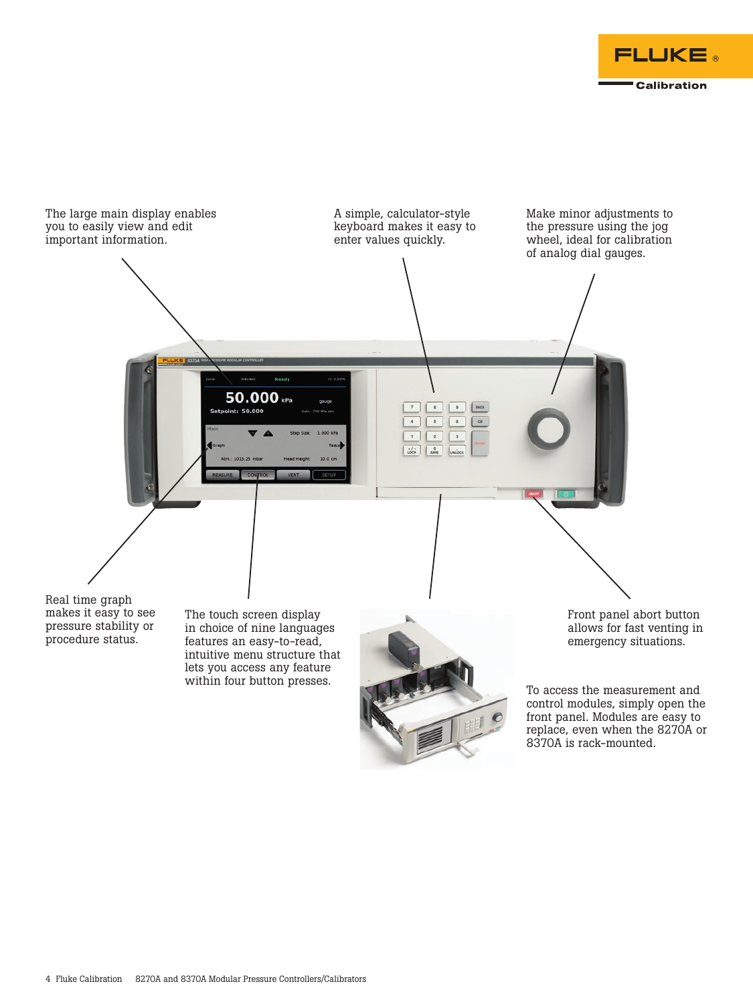



To access the measurement and control modules, simply open the front panel. Modules are easy to replace, even when the 8270A or 8370A is rack-mounted.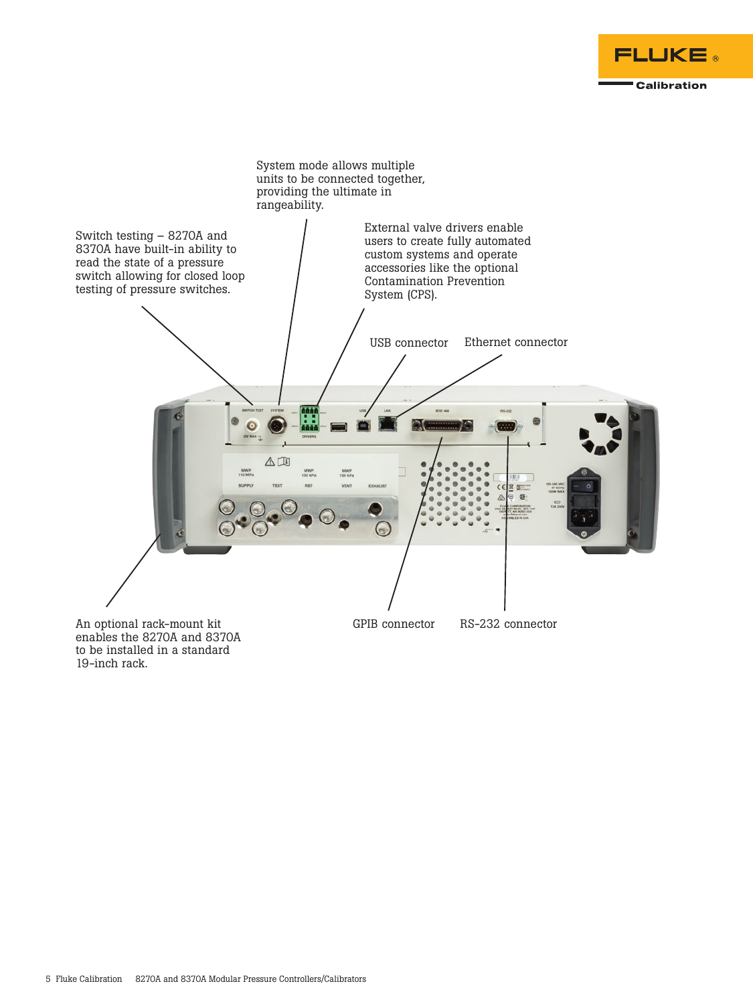



enables the 8270A and 8370A to be installed in a standard 19-inch rack.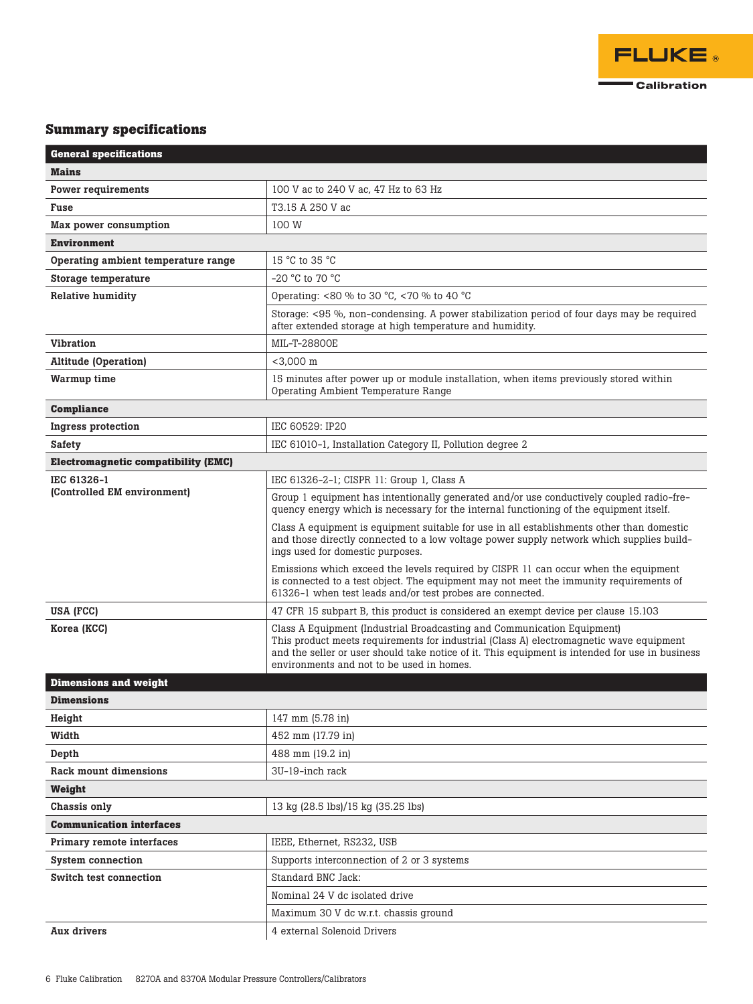

## **Summary specifications**

| <b>General specifications</b>              |                                                                                                                                                                                                                                                                                                                    |  |  |  |
|--------------------------------------------|--------------------------------------------------------------------------------------------------------------------------------------------------------------------------------------------------------------------------------------------------------------------------------------------------------------------|--|--|--|
| <b>Mains</b>                               |                                                                                                                                                                                                                                                                                                                    |  |  |  |
| <b>Power requirements</b>                  | 100 V ac to 240 V ac, 47 Hz to 63 Hz                                                                                                                                                                                                                                                                               |  |  |  |
| Fuse                                       | T3.15 A 250 V ac                                                                                                                                                                                                                                                                                                   |  |  |  |
| Max power consumption                      | 100 W                                                                                                                                                                                                                                                                                                              |  |  |  |
| <b>Environment</b>                         |                                                                                                                                                                                                                                                                                                                    |  |  |  |
| Operating ambient temperature range        | 15 °C to 35 °C                                                                                                                                                                                                                                                                                                     |  |  |  |
| Storage temperature                        | $-20$ °C to 70 °C                                                                                                                                                                                                                                                                                                  |  |  |  |
| <b>Relative humidity</b>                   | Operating: <80 % to 30 °C, <70 % to 40 °C                                                                                                                                                                                                                                                                          |  |  |  |
|                                            | Storage: <95 %, non-condensing. A power stabilization period of four days may be required<br>after extended storage at high temperature and humidity.                                                                                                                                                              |  |  |  |
| <b>Vibration</b>                           | MIL-T-28800E                                                                                                                                                                                                                                                                                                       |  |  |  |
| <b>Altitude (Operation)</b>                | $<$ 3,000 m                                                                                                                                                                                                                                                                                                        |  |  |  |
| Warmup time                                | 15 minutes after power up or module installation, when items previously stored within<br>Operating Ambient Temperature Range                                                                                                                                                                                       |  |  |  |
| <b>Compliance</b>                          |                                                                                                                                                                                                                                                                                                                    |  |  |  |
| Ingress protection                         | IEC 60529: IP20                                                                                                                                                                                                                                                                                                    |  |  |  |
| Safety                                     | IEC 61010-1, Installation Category II, Pollution degree 2                                                                                                                                                                                                                                                          |  |  |  |
| <b>Electromagnetic compatibility (EMC)</b> |                                                                                                                                                                                                                                                                                                                    |  |  |  |
| IEC 61326-1<br>(Controlled EM environment) | IEC 61326-2-1; CISPR 11: Group 1, Class A                                                                                                                                                                                                                                                                          |  |  |  |
|                                            | Group 1 equipment has intentionally generated and/or use conductively coupled radio-fre-<br>quency energy which is necessary for the internal functioning of the equipment itself.                                                                                                                                 |  |  |  |
|                                            | Class A equipment is equipment suitable for use in all establishments other than domestic<br>and those directly connected to a low voltage power supply network which supplies build-<br>ings used for domestic purposes.                                                                                          |  |  |  |
|                                            | Emissions which exceed the levels required by CISPR 11 can occur when the equipment<br>is connected to a test object. The equipment may not meet the immunity requirements of<br>61326-1 when test leads and/or test probes are connected.                                                                         |  |  |  |
| USA (FCC)                                  | 47 CFR 15 subpart B, this product is considered an exempt device per clause 15.103                                                                                                                                                                                                                                 |  |  |  |
| Korea (KCC)                                | Class A Equipment (Industrial Broadcasting and Communication Equipment)<br>This product meets requirements for industrial (Class A) electromagnetic wave equipment<br>and the seller or user should take notice of it. This equipment is intended for use in business<br>environments and not to be used in homes. |  |  |  |
| <b>Dimensions and weight</b>               |                                                                                                                                                                                                                                                                                                                    |  |  |  |
| <b>Dimensions</b>                          |                                                                                                                                                                                                                                                                                                                    |  |  |  |
| Height                                     | 147 mm (5.78 in)                                                                                                                                                                                                                                                                                                   |  |  |  |
| Width                                      | 452 mm (17.79 in)                                                                                                                                                                                                                                                                                                  |  |  |  |
| Depth                                      | 488 mm (19.2 in)                                                                                                                                                                                                                                                                                                   |  |  |  |
| Rack mount dimensions                      | 3U-19-inch rack                                                                                                                                                                                                                                                                                                    |  |  |  |
| Weight                                     |                                                                                                                                                                                                                                                                                                                    |  |  |  |
| Chassis only                               | 13 kg (28.5 lbs)/15 kg (35.25 lbs)                                                                                                                                                                                                                                                                                 |  |  |  |
| <b>Communication interfaces</b>            |                                                                                                                                                                                                                                                                                                                    |  |  |  |
| Primary remote interfaces                  | IEEE, Ethernet, RS232, USB                                                                                                                                                                                                                                                                                         |  |  |  |
| <b>System connection</b>                   | Supports interconnection of 2 or 3 systems                                                                                                                                                                                                                                                                         |  |  |  |
| Switch test connection                     | Standard BNC Jack:                                                                                                                                                                                                                                                                                                 |  |  |  |
|                                            | Nominal 24 V dc isolated drive                                                                                                                                                                                                                                                                                     |  |  |  |
|                                            | Maximum 30 V dc w.r.t. chassis ground                                                                                                                                                                                                                                                                              |  |  |  |
| Aux drivers                                | 4 external Solenoid Drivers                                                                                                                                                                                                                                                                                        |  |  |  |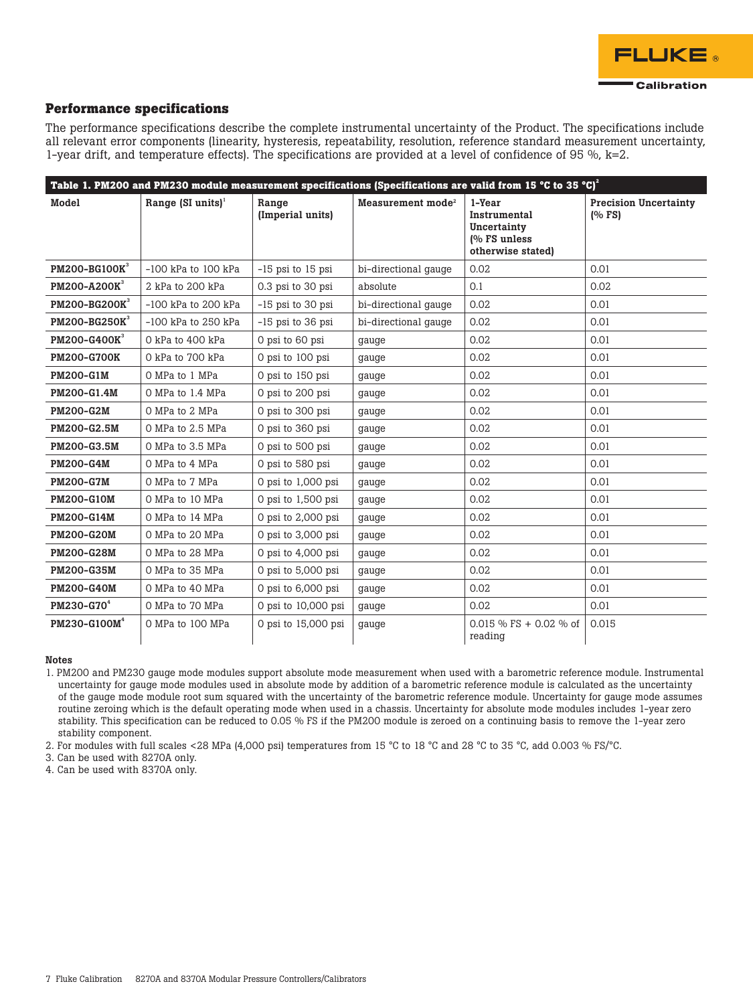

### **Performance specifications**

The performance specifications describe the complete instrumental uncertainty of the Product. The specifications include all relevant error components (linearity, hysteresis, repeatability, resolution, reference standard measurement uncertainty, 1-year drift, and temperature effects). The specifications are provided at a level of confidence of 95 %,  $k=2$ .

|                           |                         |                           |                               | Table 1. PM200 and PM230 module measurement specifications (Specifications are valid from 15 °C to 35 °C) <sup>2</sup> |                                       |
|---------------------------|-------------------------|---------------------------|-------------------------------|------------------------------------------------------------------------------------------------------------------------|---------------------------------------|
| Model                     | Range $(SI units)^1$    | Range<br>(Imperial units) | Measurement mode <sup>2</sup> | 1-Year<br>Instrumental<br>Uncertainty<br>(% FS unless<br>otherwise stated)                                             | <b>Precision Uncertainty</b><br>(%FS) |
| PM200-BG100K <sup>3</sup> | $-100$ kPa to $100$ kPa | $-15$ psi to $15$ psi     | bi-directional gauge          | 0.02                                                                                                                   | 0.01                                  |
| PM200-A200K <sup>3</sup>  | 2 kPa to 200 kPa        | 0.3 psi to 30 psi         | absolute                      | 0.1                                                                                                                    | 0.02                                  |
| PM200-BG200K <sup>3</sup> | $-100$ kPa to 200 kPa   | $-15$ psi to 30 psi       | bi-directional gauge          | 0.02                                                                                                                   | 0.01                                  |
| PM200-BG250K <sup>3</sup> | $-100$ kPa to 250 kPa   | $-15$ psi to 36 psi       | bi-directional gauge          | 0.02                                                                                                                   | 0.01                                  |
| PM200-G400K <sup>3</sup>  | 0 kPa to 400 kPa        | 0 psi to 60 psi           | gauge                         | 0.02                                                                                                                   | 0.01                                  |
| <b>PM200-G700K</b>        | 0 kPa to 700 kPa        | 0 psi to 100 psi          | gauge                         | 0.02                                                                                                                   | 0.01                                  |
| <b>PM200-G1M</b>          | O MPa to 1 MPa          | 0 psi to 150 psi          | gauge                         | 0.02                                                                                                                   | 0.01                                  |
| PM200-G1.4M               | O MPa to 1.4 MPa        | 0 psi to 200 psi          | gauge                         | 0.02                                                                                                                   | 0.01                                  |
| <b>PM200-G2M</b>          | O MPa to 2 MPa          | 0 psi to 300 psi          | gauge                         | 0.02                                                                                                                   | 0.01                                  |
| PM200-G2.5M               | O MPa to 2.5 MPa        | 0 psi to 360 psi          | gauge                         | 0.02                                                                                                                   | 0.01                                  |
| PM200-G3.5M               | 0 MPa to 3.5 MPa        | 0 psi to 500 psi          | gauge                         | 0.02                                                                                                                   | 0.01                                  |
| <b>PM200-G4M</b>          | O MPa to 4 MPa          | 0 psi to 580 psi          | gauge                         | 0.02                                                                                                                   | 0.01                                  |
| <b>PM200-G7M</b>          | O MPa to 7 MPa          | 0 psi to 1,000 psi        | gauge                         | 0.02                                                                                                                   | 0.01                                  |
| <b>PM200-G10M</b>         | O MPa to 10 MPa         | 0 psi to 1,500 psi        | gauge                         | 0.02                                                                                                                   | 0.01                                  |
| <b>PM200-G14M</b>         | O MPa to 14 MPa         | 0 psi to $2,000$ psi      | gauge                         | 0.02                                                                                                                   | 0.01                                  |
| <b>PM200-G20M</b>         | O MPa to 20 MPa         | 0 psi to 3,000 psi        | gauge                         | 0.02                                                                                                                   | 0.01                                  |
| <b>PM200-G28M</b>         | O MPa to 28 MPa         | 0 psi to 4,000 psi        | gauge                         | 0.02                                                                                                                   | 0.01                                  |
| <b>PM200-G35M</b>         | O MPa to 35 MPa         | 0 psi to 5,000 psi        | gauge                         | 0.02                                                                                                                   | 0.01                                  |
| <b>PM200-G40M</b>         | O MPa to 40 MPa         | 0 psi to 6,000 psi        | gauge                         | 0.02                                                                                                                   | 0.01                                  |
| PM230-G70 <sup>4</sup>    | O MPa to 70 MPa         | 0 psi to 10,000 psi       | gauge                         | 0.02                                                                                                                   | 0.01                                  |
| $PM230-G100M4$            | O MPa to 100 MPa        | 0 psi to 15,000 psi       | gauge                         | $0.015 \%$ FS + 0.02 % of<br>reading                                                                                   | 0.015                                 |

#### Notes

1. PM200 and PM230 gauge mode modules support absolute mode measurement when used with a barometric reference module. Instrumental uncertainty for gauge mode modules used in absolute mode by addition of a barometric reference module is calculated as the uncertainty of the gauge mode module root sum squared with the uncertainty of the barometric reference module. Uncertainty for gauge mode assumes routine zeroing which is the default operating mode when used in a chassis. Uncertainty for absolute mode modules includes 1-year zero stability. This specification can be reduced to 0.05 % FS if the PM200 module is zeroed on a continuing basis to remove the 1-year zero stability component.

2. For modules with full scales <28 MPa (4,000 psi) temperatures from 15 °C to 18 °C and 28 °C to 35 °C, add 0.003 % FS/°C.

3. Can be used with 8270A only.

4. Can be used with 8370A only.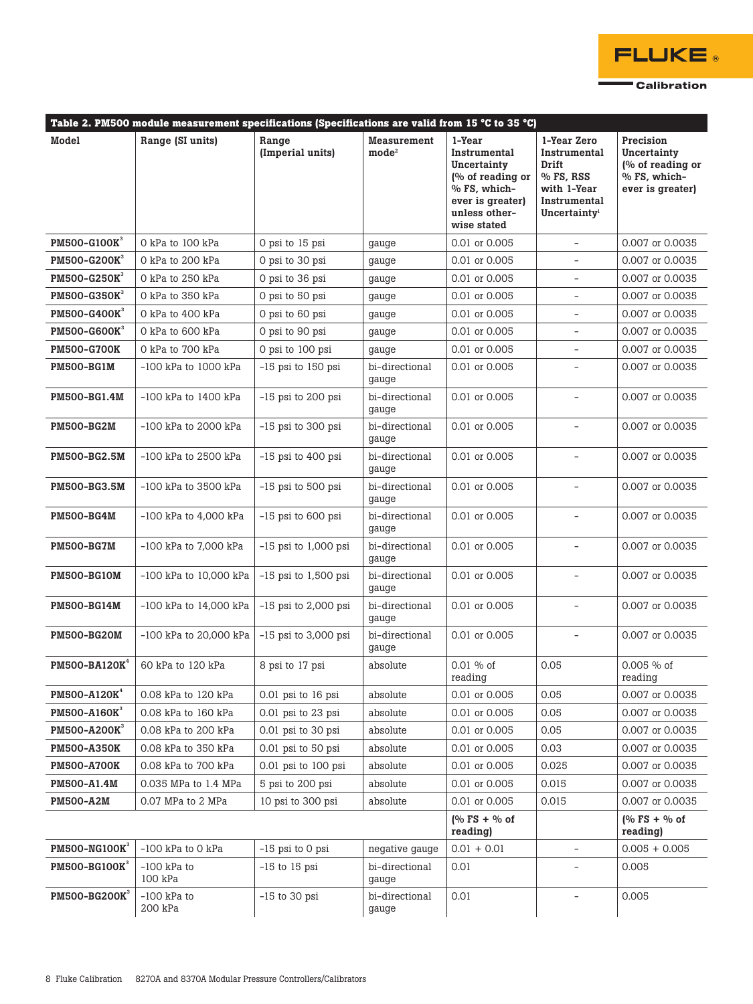

|                                  | Table 2. PM500 module measurement specifications (Specifications are valid from 15 °C to 35 °C) |                           |                                       |                                                                                                                               |                                                                                                                |                                                                                  |
|----------------------------------|-------------------------------------------------------------------------------------------------|---------------------------|---------------------------------------|-------------------------------------------------------------------------------------------------------------------------------|----------------------------------------------------------------------------------------------------------------|----------------------------------------------------------------------------------|
| Model                            | Range (SI units)                                                                                | Range<br>(Imperial units) | <b>Measurement</b><br>$\text{mode}^2$ | 1-Year<br>Instrumental<br>Uncertainty<br>(% of reading or<br>% FS, which-<br>ever is greater)<br>unless other-<br>wise stated | 1-Year Zero<br>Instrumental<br>Drift<br>$%$ FS, RSS<br>with 1-Year<br>Instrumental<br>Uncertainty <sup>1</sup> | Precision<br>Uncertainty<br>(% of reading or<br>% FS, which-<br>ever is greater) |
| PM500-G100K <sup>3</sup>         | 0 kPa to 100 kPa                                                                                | 0 psi to 15 psi           | gauge                                 | 0.01 or 0.005                                                                                                                 |                                                                                                                | 0.007 or 0.0035                                                                  |
| PM500-G200K <sup>3</sup>         | 0 kPa to 200 kPa                                                                                | 0 psi to 30 psi           | gauge                                 | 0.01 or 0.005                                                                                                                 |                                                                                                                | 0.007 or 0.0035                                                                  |
| <b>PM500-G250K</b>               | 0 kPa to 250 kPa                                                                                | 0 psi to 36 psi           | gauge                                 | 0.01 or 0.005                                                                                                                 | $\overline{\phantom{a}}$                                                                                       | 0.007 or 0.0035                                                                  |
| PM500-G350K <sup>3</sup>         | 0 kPa to 350 kPa                                                                                | 0 psi to 50 psi           | gauge                                 | 0.01 or 0.005                                                                                                                 |                                                                                                                | 0.007 or 0.0035                                                                  |
| <b>PM500-G400K</b>               | 0 kPa to 400 kPa                                                                                | 0 psi to 60 psi           | gauge                                 | 0.01 or 0.005                                                                                                                 |                                                                                                                | 0.007 or 0.0035                                                                  |
| <b>PM500-G600K</b>               | 0 kPa to 600 kPa                                                                                | 0 psi to 90 psi           | gauge                                 | 0.01 or 0.005                                                                                                                 | $\overline{\phantom{a}}$                                                                                       | 0.007 or 0.0035                                                                  |
| <b>PM500-G700K</b>               | 0 kPa to 700 kPa                                                                                | 0 psi to 100 psi          | gauge                                 | 0.01 or 0.005                                                                                                                 |                                                                                                                | 0.007 or 0.0035                                                                  |
| <b>PM500-BG1M</b>                | $-100$ kPa to $1000$ kPa                                                                        | $-15$ psi to 150 psi      | bi-directional<br>gauge               | 0.01 or 0.005                                                                                                                 |                                                                                                                | 0.007 or 0.0035                                                                  |
| PM500-BG1.4M                     | -100 kPa to 1400 kPa                                                                            | $-15$ psi to 200 psi      | bi-directional<br>gauge               | 0.01 or 0.005                                                                                                                 |                                                                                                                | 0.007 or 0.0035                                                                  |
| <b>PM500-BG2M</b>                | $-100$ kPa to $2000$ kPa                                                                        | $-15$ psi to 300 psi      | bi-directional<br>gauge               | 0.01 or 0.005                                                                                                                 |                                                                                                                | 0.007 or 0.0035                                                                  |
| <b>PM500-BG2.5M</b>              | -100 kPa to 2500 kPa                                                                            | $-15$ psi to 400 psi      | bi-directional<br>gauge               | 0.01 or 0.005                                                                                                                 |                                                                                                                | 0.007 or 0.0035                                                                  |
| <b>PM500-BG3.5M</b>              | -100 kPa to 3500 kPa                                                                            | $-15$ psi to 500 psi      | bi-directional<br>gauge               | 0.01 or 0.005                                                                                                                 | ÷.                                                                                                             | 0.007 or 0.0035                                                                  |
| <b>PM500-BG4M</b>                | $-100$ kPa to $4,000$ kPa                                                                       | $-15$ psi to 600 psi      | bi-directional<br>gauge               | 0.01 or 0.005                                                                                                                 | $\sim$                                                                                                         | 0.007 or 0.0035                                                                  |
| <b>PM500-BG7M</b>                | $-100$ kPa to $7,000$ kPa                                                                       | $-15$ psi to 1,000 psi    | bi-directional<br>gauge               | 0.01 or 0.005                                                                                                                 | $\sim$                                                                                                         | 0.007 or 0.0035                                                                  |
| <b>PM500-BG10M</b>               | $-100$ kPa to $10,000$ kPa                                                                      | $-15$ psi to 1,500 psi    | bi-directional<br>gauge               | 0.01 or 0.005                                                                                                                 | $\sim$                                                                                                         | 0.007 or 0.0035                                                                  |
| <b>PM500-BG14M</b>               | $-100$ kPa to $14,000$ kPa                                                                      | $-15$ psi to 2,000 psi    | bi-directional<br>gauge               | 0.01 or 0.005                                                                                                                 | $\overline{\phantom{a}}$                                                                                       | 0.007 or 0.0035                                                                  |
| <b>PM500-BG20M</b>               | $-100$ kPa to 20,000 kPa                                                                        | $-15$ psi to 3,000 psi    | bi-directional<br>gauge               | 0.01 or 0.005                                                                                                                 | $\overline{\phantom{a}}$                                                                                       | 0.007 or 0.0035                                                                  |
| PM500-BA120K <sup>4</sup>        | 60 kPa to 120 kPa                                                                               | 8 psi to 17 psi           | absolute                              | $0.01 \%$ of<br>reading                                                                                                       | 0.05                                                                                                           | 0.005 % of<br>reading                                                            |
| PM500-A120K <sup>4</sup>         | 0.08 kPa to 120 kPa                                                                             | 0.01 psi to 16 psi        | absolute                              | 0.01 or 0.005                                                                                                                 | 0.05                                                                                                           | 0.007 or 0.0035                                                                  |
| PM500-A160K <sup>3</sup>         | 0.08 kPa to 160 kPa                                                                             | 0.01 psi to 23 psi        | absolute                              | 0.01 or 0.005                                                                                                                 | 0.05                                                                                                           | 0.007 or 0.0035                                                                  |
| PM500-A200K <sup>3</sup>         | 0.08 kPa to 200 kPa                                                                             | 0.01 psi to 30 psi        | absolute                              | 0.01 or 0.005                                                                                                                 | 0.05                                                                                                           | 0.007 or 0.0035                                                                  |
| <b>PM500-A350K</b>               | 0.08 kPa to 350 kPa                                                                             | 0.01 psi to 50 psi        | absolute                              | 0.01 or 0.005                                                                                                                 | 0.03                                                                                                           | 0.007 or 0.0035                                                                  |
| <b>PM500-A700K</b>               | 0.08 kPa to 700 kPa                                                                             | 0.01 psi to 100 psi       | absolute                              | 0.01 or 0.005                                                                                                                 | 0.025                                                                                                          | 0.007 or 0.0035                                                                  |
| PM500-A1.4M                      | 0.035 MPa to 1.4 MPa                                                                            | 5 psi to 200 psi          | absolute                              | 0.01 or 0.005                                                                                                                 | 0.015                                                                                                          | 0.007 or 0.0035                                                                  |
| <b>PM500-A2M</b>                 | 0.07 MPa to 2 MPa                                                                               | 10 psi to 300 psi         | absolute                              | 0.01 or 0.005                                                                                                                 | 0.015                                                                                                          | 0.007 or 0.0035                                                                  |
|                                  |                                                                                                 |                           |                                       | $\sqrt{6}$ FS + % of<br>reading)                                                                                              |                                                                                                                | $\sqrt{6}$ FS + % of<br>reading)                                                 |
| <b>PM500-NG100K</b> <sup>3</sup> | $-100$ kPa to $0$ kPa                                                                           | -15 psi to 0 psi          | negative gauge                        | $0.01 + 0.01$                                                                                                                 | $\overline{\phantom{0}}$                                                                                       | $0.005 + 0.005$                                                                  |
| PM500-BG100K <sup>3</sup>        | $-100$ kPa to<br>100 kPa                                                                        | $-15$ to 15 psi           | bi-directional<br>gauge               | 0.01                                                                                                                          |                                                                                                                | 0.005                                                                            |
| PM500-BG200K <sup>3</sup>        | $-100$ kPa to<br>200 kPa                                                                        | $-15$ to 30 psi           | bi-directional<br>gauge               | 0.01                                                                                                                          |                                                                                                                | 0.005                                                                            |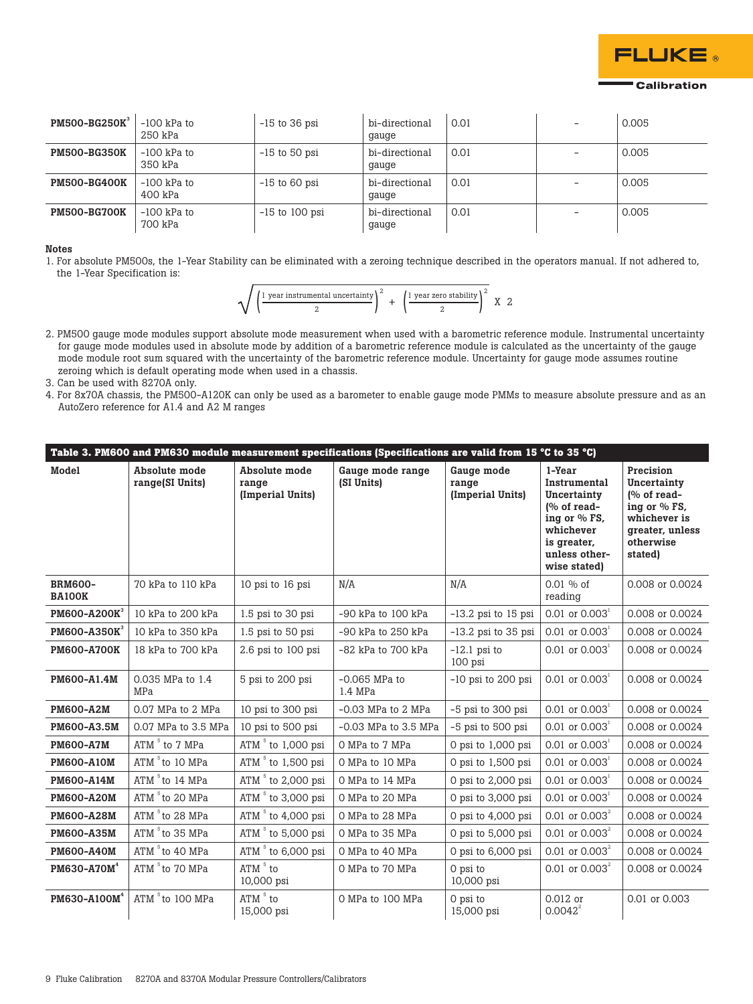

| <b>PM500-BG250K</b> | -100 kPa to<br>250 kPa   | $-15$ to 36 psi  | bi-directional<br>gauge | 0.01 | - | 0.005 |
|---------------------|--------------------------|------------------|-------------------------|------|---|-------|
| <b>PM500-BG350K</b> | $-100$ kPa to<br>350 kPa | $-15$ to 50 psi  | bi-directional<br>gauge | 0.01 |   | 0.005 |
| <b>PM500-BG400K</b> | -100 kPa to<br>400 kPa   | $-15$ to 60 psi  | bi-directional<br>gauge | 0.01 |   | 0.005 |
| <b>PM500-BG700K</b> | -100 kPa to<br>700 kPa   | $-15$ to 100 psi | bi-directional<br>gauge | 0.01 |   | 0.005 |

Notes

1. For absolute PM500s, the 1-Year Stability can be eliminated with a zeroing technique described in the operators manual. If not adhered to, the 1-Year Specification is:

$$
\sqrt{\left(\frac{1 \text{ year instrumental uncertainty}}{2}\right)^2 + \left(\frac{1 \text{ year zero stability}}{2}\right)^2} \times 2
$$

2. PM500 gauge mode modules support absolute mode measurement when used with a barometric reference module. Instrumental uncertainty for gauge mode modules used in absolute mode by addition of a barometric reference module is calculated as the uncertainty of the gauge mode module root sum squared with the uncertainty of the barometric reference module. Uncertainty for gauge mode assumes routine zeroing which is default operating mode when used in a chassis.

3. Can be used with 8270A only.

4. For 8x70A chassis, the PM500-A120K can only be used as a barometer to enable gauge mode PMMs to measure absolute pressure and as an AutoZero reference for A1.4 and A2 M ranges

| Table 3. PM600 and PM630 module measurement specifications (Specifications are valid from 15 °C to 35 °C) |                                  |                                            |                                |                                         |                                                                                                                                           |                                                                                                                            |
|-----------------------------------------------------------------------------------------------------------|----------------------------------|--------------------------------------------|--------------------------------|-----------------------------------------|-------------------------------------------------------------------------------------------------------------------------------------------|----------------------------------------------------------------------------------------------------------------------------|
| Model                                                                                                     | Absolute mode<br>range(SI Units) | Absolute mode<br>range<br>(Imperial Units) | Gauge mode range<br>(SI Units) | Gauge mode<br>range<br>(Imperial Units) | 1-Year<br>Instrumental<br>Uncertainty<br>$\sqrt{9}$ of read-<br>ing or % FS,<br>whichever<br>is greater,<br>unless other-<br>wise stated) | Precision<br>Uncertainty<br>$\sqrt{6}$ of read-<br>ing or % FS,<br>whichever is<br>greater, unless<br>otherwise<br>stated) |
| <b>BRM600-</b><br><b>BA100K</b>                                                                           | 70 kPa to 110 kPa                | 10 psi to 16 psi                           | N/A                            | N/A                                     | $0.01 \%$ of<br>reading                                                                                                                   | 0.008 or 0.0024                                                                                                            |
| PM600-A200K <sup>3</sup>                                                                                  | 10 kPa to 200 kPa                | 1.5 psi to 30 psi                          | $-90$ kPa to $100$ kPa         | $-13.2$ psi to 15 psi                   | 0.01 or $0.003^1$                                                                                                                         | 0.008 or 0.0024                                                                                                            |
| <b>PM600-A350K</b>                                                                                        | 10 kPa to 350 kPa                | 1.5 psi to 50 psi                          | $-90$ kPa to $250$ kPa         | $-13.2$ psi to 35 psi                   | $0.01$ or $0.003$ <sup>1</sup>                                                                                                            | 0.008 or 0.0024                                                                                                            |
| <b>PM600-A700K</b>                                                                                        | 18 kPa to 700 kPa                | 2.6 psi to 100 psi                         | $-82$ kPa to $700$ kPa         | $-12.1$ psi to<br>100 psi               | 0.01 or $0.003$ <sup>1</sup>                                                                                                              | 0.008 or 0.0024                                                                                                            |
| PM600-A1.4M                                                                                               | 0.035 MPa to 1.4<br>MPa          | 5 psi to 200 psi                           | $-0.065$ MPa to<br>1.4 MPa     | $-10$ psi to 200 psi                    | $0.01$ or $0.0031$                                                                                                                        | 0.008 or 0.0024                                                                                                            |
| <b>PM600-A2M</b>                                                                                          | 0.07 MPa to 2 MPa                | 10 psi to 300 psi                          | $-0.03$ MPa to $2$ MPa         | -5 psi to 300 psi                       | $0.01$ or $0.0031$                                                                                                                        | 0.008 or 0.0024                                                                                                            |
| PM600-A3.5M                                                                                               | 0.07 MPa to 3.5 MPa              | 10 psi to 500 psi                          | $-0.03$ MPa to 3.5 MPa         | -5 psi to 500 psi                       | 0.01 or $0.003^1$                                                                                                                         | 0.008 or 0.0024                                                                                                            |
| <b>PM600-A7M</b>                                                                                          | ATM <sup>5</sup> to 7 MPa        | ATM $5$ to 1,000 psi                       | O MPa to 7 MPa                 | 0 psi to 1,000 psi                      | $0.01$ or $0.0031$                                                                                                                        | 0.008 or 0.0024                                                                                                            |
| <b>PM600-A10M</b>                                                                                         | ATM <sup>5</sup> to 10 MPa       | ATM $5$ to 1,500 psi                       | O MPa to 10 MPa                | 0 psi to 1,500 psi                      | $0.01$ or $0.0031$                                                                                                                        | 0.008 or 0.0024                                                                                                            |
| PM600-A14M                                                                                                | ATM <sup>5</sup> to 14 MPa       | ATM $5$ to 2,000 psi                       | O MPa to 14 MPa                | 0 psi to 2,000 psi                      | $0.01$ or $0.0031$                                                                                                                        | 0.008 or 0.0024                                                                                                            |
| <b>PM600-A20M</b>                                                                                         | ATM $5$ to 20 MPa                | ATM $5$ to 3,000 psi                       | O MPa to 20 MPa                | 0 psi to 3,000 psi                      | $0.01$ or $0.0031$                                                                                                                        | 0.008 or 0.0024                                                                                                            |
| <b>PM600-A28M</b>                                                                                         | ATM <sup>5</sup> to 28 MPa       | ATM $5$ to 4,000 psi                       | O MPa to 28 MPa                | 0 psi to 4,000 psi                      | 0.01 or $0.003^2$                                                                                                                         | 0.008 or 0.0024                                                                                                            |
| <b>PM600-A35M</b>                                                                                         | ATM <sup>5</sup> to 35 MPa       | ATM $5$ to 5,000 psi                       | O MPa to 35 MPa                | 0 psi to 5,000 psi                      | 0.01 or $0.003^2$                                                                                                                         | 0.008 or 0.0024                                                                                                            |
| <b>PM600-A40M</b>                                                                                         | ATM <sup>5</sup> to 40 MPa       | ATM $5$ to 6,000 psi                       | O MPa to 40 MPa                | 0 psi to 6,000 psi                      | 0.01 or $0.003^2$                                                                                                                         | 0.008 or 0.0024                                                                                                            |
| PM630-A70M <sup>4</sup>                                                                                   | ATM $5$ to 70 MPa                | ATM 5 to<br>10,000 psi                     | O MPa to 70 MPa                | 0 psi to<br>10,000 psi                  | 0.01 or $0.003^2$                                                                                                                         | 0.008 or 0.0024                                                                                                            |
| PM630-A100M <sup>4</sup>                                                                                  | ATM <sup>5</sup> to 100 MPa      | ATM <sup>5</sup> to<br>15,000 psi          | O MPa to 100 MPa               | 0 psi to<br>15,000 psi                  | 0.012 or<br>$0.0042^2$                                                                                                                    | 0.01 or 0.003                                                                                                              |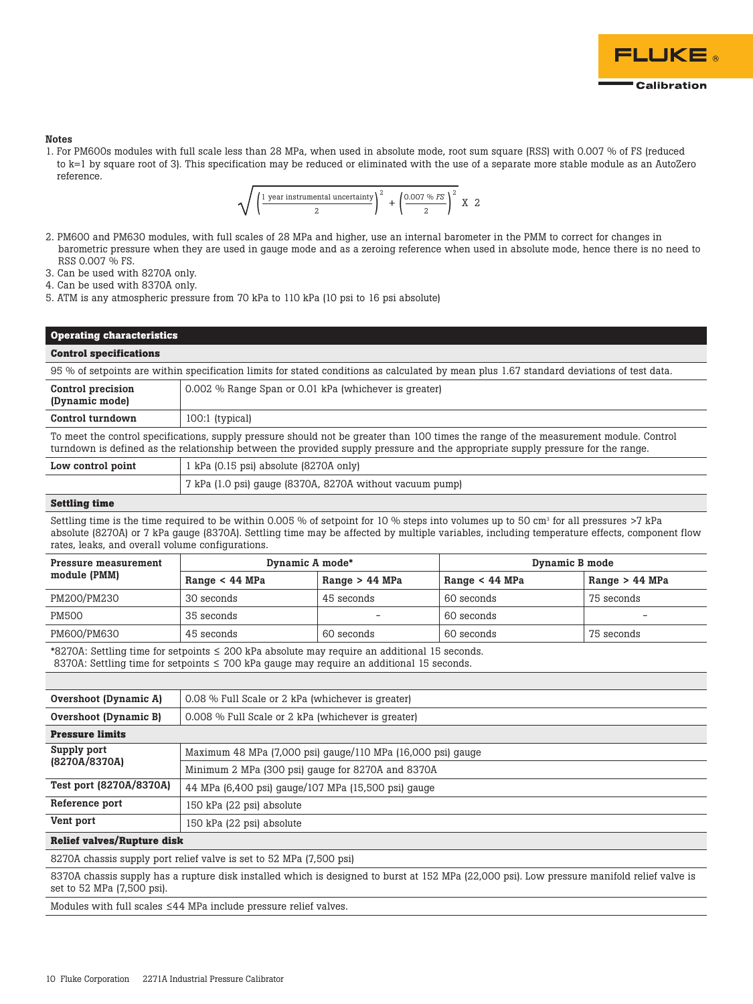

#### **Notes**

1. For PM600s modules with full scale less than 28 MPa, when used in absolute mode, root sum square (RSS) with 0.007 % of FS (reduced to k=1 by square root of 3). This specification may be reduced or eliminated with the use of a separate more stable module as an AutoZero reference.

$$
\sqrt{\left(\frac{1 \text{ year instrumental uncertainty}}{2}\right)^2 + \left(\frac{0.007 \text{ % } FS}{2}\right)^2} \times 2
$$

- 2. PM600 and PM630 modules, with full scales of 28 MPa and higher, use an internal barometer in the PMM to correct for changes in barometric pressure when they are used in gauge mode and as a zeroing reference when used in absolute mode, hence there is no need to RSS 0.007 % FS.
- 3. Can be used with 8270A only.
- 4. Can be used with 8370A only.
- 5. ATM is any atmospheric pressure from 70 kPa to 110 kPa (10 psi to 16 psi absolute)

### **Operating characteristics**

#### **Control specifications**

95 % of setpoints are within specification limits for stated conditions as calculated by mean plus 1.67 standard deviations of test data.

| Control precision<br>(Dynamic mode)                                                                                                                                                                                                                                      | 0.002 % Range Span or 0.01 kPa (whichever is greater) |  |  |
|--------------------------------------------------------------------------------------------------------------------------------------------------------------------------------------------------------------------------------------------------------------------------|-------------------------------------------------------|--|--|
| Control turndown                                                                                                                                                                                                                                                         | 100:1 (typical)                                       |  |  |
| To meet the control specifications, supply pressure should not be greater than 100 times the range of the measurement module. Control<br>turndown is defined as the relationship between the provided supply pressure and the appropriate supply pressure for the range. |                                                       |  |  |

| Low control point | 1 kPa (0.15 psi) absolute (8270A only)                   |  |
|-------------------|----------------------------------------------------------|--|
|                   | 7 kPa (1.0 psi) gauge (8370A, 8270A without vacuum pump) |  |

### **Settling time**

Settling time is the time required to be within 0.005 % of setpoint for 10 % steps into volumes up to 50 cm3 for all pressures >7 kPa absolute (8270A) or 7 kPa gauge (8370A). Settling time may be affected by multiple variables, including temperature effects, component flow rates, leaks, and overall volume configurations.

| Pressure measurement<br>module (PMM) | Dynamic A mode*  |                  | Dynamic B mode   |                  |
|--------------------------------------|------------------|------------------|------------------|------------------|
|                                      | Range $< 44$ MPa | Range $> 44$ MPa | Range $< 44$ MPa | Range $> 44$ MPa |
| PM200/PM230                          | 30 seconds       | 45 seconds       | 60 seconds       | 75 seconds       |
| <b>PM500</b>                         | 35 seconds       | $\qquad \qquad$  | 60 seconds       |                  |
| PM600/PM630                          | 45 seconds       | 60 seconds       | 60 seconds       | 75 seconds       |

\*8270A: Settling time for setpoints ≤ 200 kPa absolute may require an additional 15 seconds. 8370A: Settling time for setpoints ≤ 700 kPa gauge may require an additional 15 seconds.

| Overshoot (Dynamic A)   | 0.08 % Full Scale or 2 kPa (whichever is greater)           |
|-------------------------|-------------------------------------------------------------|
| Overshoot (Dynamic B)   | 0.008 % Full Scale or 2 kPa (whichever is greater)          |
| <b>Pressure limits</b>  |                                                             |
| Supply port             | Maximum 48 MPa (7,000 psi) gauge/110 MPa (16,000 psi) gauge |
| (8270A/8370A)           | Minimum 2 MPa (300 psi) gauge for 8270A and 8370A           |
| Test port (8270A/8370A) | 44 MPa (6,400 psi) gauge/107 MPa (15,500 psi) gauge         |
| Reference port          | 150 kPa (22 psi) absolute                                   |
| Vent port               | 150 kPa (22 psi) absolute                                   |

#### **Relief valves/Rupture disk**

8270A chassis supply port relief valve is set to 52 MPa (7,500 psi)

8370A chassis supply has a rupture disk installed which is designed to burst at 152 MPa (22,000 psi). Low pressure manifold relief valve is set to 52 MPa (7,500 psi).

Modules with full scales ≤44 MPa include pressure relief valves.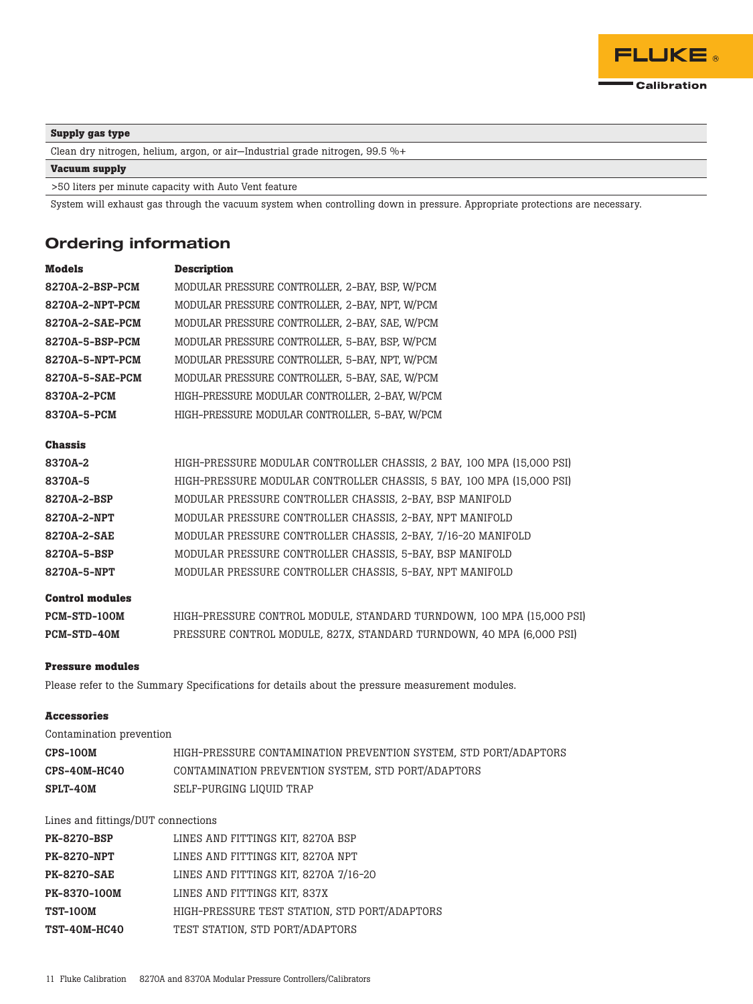

### **Supply gas type**

Clean dry nitrogen, helium, argon, or air—Industrial grade nitrogen, 99.5 %+

### **Vacuum supply**

>50 liters per minute capacity with Auto Vent feature

System will exhaust gas through the vacuum system when controlling down in pressure. Appropriate protections are necessary.

### Ordering information

| <b>Models</b>          | <b>Description</b>                                                    |
|------------------------|-----------------------------------------------------------------------|
| 8270A-2-BSP-PCM        | MODULAR PRESSURE CONTROLLER, 2-BAY, BSP, W/PCM                        |
| 8270A-2-NPT-PCM        | MODULAR PRESSURE CONTROLLER, 2-BAY, NPT, W/PCM                        |
| 8270A-2-SAE-PCM        | MODULAR PRESSURE CONTROLLER, 2-BAY, SAE, W/PCM                        |
| 8270A-5-BSP-PCM        | MODULAR PRESSURE CONTROLLER. 5-BAY. BSP. W/PCM                        |
| 8270A-5-NPT-PCM        | MODULAR PRESSURE CONTROLLER, 5-BAY, NPT, W/PCM                        |
| 8270A-5-SAE-PCM        | MODULAR PRESSURE CONTROLLER, 5-BAY, SAE, W/PCM                        |
| 8370A-2-PCM            | HIGH-PRESSURE MODULAR CONTROLLER. 2-BAY. W/PCM                        |
| 8370A-5-PCM            | HIGH-PRESSURE MODULAR CONTROLLER, 5-BAY, W/PCM                        |
| <b>Chassis</b>         |                                                                       |
| 8370A-2                | HIGH-PRESSURE MODULAR CONTROLLER CHASSIS, 2 BAY, 100 MPA (15,000 PSI) |
| 8370A-5                | HIGH-PRESSURE MODULAR CONTROLLER CHASSIS, 5 BAY, 100 MPA (15,000 PSI) |
| 8270A-2-BSP            | MODULAR PRESSURE CONTROLLER CHASSIS, 2-BAY, BSP MANIFOLD              |
| 8270A-2-NPT            | MODULAR PRESSURE CONTROLLER CHASSIS, 2-BAY, NPT MANIFOLD              |
| 8270A-2-SAE            | MODULAR PRESSURE CONTROLLER CHASSIS, 2-BAY, 7/16-20 MANIFOLD          |
| 8270A-5-BSP            | MODULAR PRESSURE CONTROLLER CHASSIS, 5-BAY, BSP MANIFOLD              |
| 8270A-5-NPT            | MODULAR PRESSURE CONTROLLER CHASSIS, 5-BAY, NPT MANIFOLD              |
| <b>Control modules</b> |                                                                       |
| PCM-STD-100M           | HIGH-PRESSURE CONTROL MODULE, STANDARD TURNDOWN, 100 MPA (15,000 PSI) |
| PCM-STD-40M            | PRESSURE CONTROL MODULE, 827X, STANDARD TURNDOWN, 40 MPA (6,000 PSI)  |

#### **Pressure modules**

Please refer to the Summary Specifications for details about the pressure measurement modules.

#### **Accessories**

| Contamination prevention |                                                                  |
|--------------------------|------------------------------------------------------------------|
| <b>CPS-100M</b>          | HIGH-PRESSURE CONTAMINATION PREVENTION SYSTEM, STD PORT/ADAPTORS |
| CPS-40M-HC40             | CONTAMINATION PREVENTION SYSTEM, STD PORT/ADAPTORS               |
| <b>SPLT-40M</b>          | SELF-PURGING LIOUID TRAP                                         |

Lines and fittings/DUT connections

| <b>PK-8270-BSP</b>  | LINES AND FITTINGS KIT. 8270A BSP             |
|---------------------|-----------------------------------------------|
| PK-8270-NPT         | LINES AND FITTINGS KIT, 8270A NPT             |
| PK-8270-SAE         | LINES AND FITTINGS KIT, 8270A 7/16-20         |
| <b>PK-8370-100M</b> | LINES AND FITTINGS KIT, 837X                  |
| <b>TST-100M</b>     | HIGH-PRESSURE TEST STATION, STD PORT/ADAPTORS |
| <b>TST-40M-HC40</b> | TEST STATION, STD PORT/ADAPTORS               |